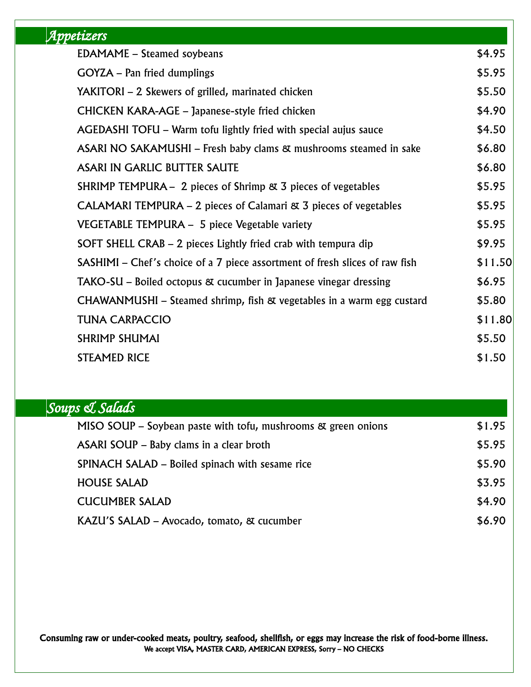| <u> Appetizers</u>                                                          |         |
|-----------------------------------------------------------------------------|---------|
| <b>EDAMAME</b> – Steamed soybeans                                           | \$4.95  |
| <b>GOYZA</b> – Pan fried dumplings                                          | \$5.95  |
| YAKITORI – 2 Skewers of grilled, marinated chicken                          | \$5.50  |
| CHICKEN KARA-AGE – Japanese-style fried chicken                             | \$4.90  |
| AGEDASHI TOFU – Warm tofu lightly fried with special aujus sauce            | \$4.50  |
| ASARI NO SAKAMUSHI – Fresh baby clams & mushrooms steamed in sake           | \$6.80  |
| <b>ASARI IN GARLIC BUTTER SAUTE</b>                                         | \$6.80  |
| SHRIMP TEMPURA $-$ 2 pieces of Shrimp $\alpha$ 3 pieces of vegetables       | \$5.95  |
| CALAMARI TEMPURA $-2$ pieces of Calamari $\alpha$ 3 pieces of vegetables    | \$5.95  |
| VEGETABLE TEMPURA - 5 piece Vegetable variety                               | \$5.95  |
| SOFT SHELL CRAB – 2 pieces Lightly fried crab with tempura dip              | \$9.95  |
| SASHIMI – Chef's choice of a 7 piece assortment of fresh slices of raw fish | \$11.50 |
| TAKO-SU – Boiled octopus & cucumber in Japanese vinegar dressing            | \$6.95  |
| CHAWANMUSHI - Steamed shrimp, fish & vegetables in a warm egg custard       | \$5.80  |
| <b>TUNA CARPACCIO</b>                                                       | \$11.80 |
| <b>SHRIMP SHUMAI</b>                                                        | \$5.50  |
| <b>STEAMED RICE</b>                                                         | \$1.50  |

| Soups & Salads                                                |        |
|---------------------------------------------------------------|--------|
| MISO SOUP – Soybean paste with tofu, mushrooms & green onions | \$1.95 |
| ASARI SOUP – Baby clams in a clear broth                      | \$5.95 |
| SPINACH SALAD – Boiled spinach with sesame rice               | \$5.90 |
| <b>HOUSE SALAD</b>                                            | \$3.95 |
| <b>CUCUMBER SALAD</b>                                         | \$4.90 |
| KAZU'S SALAD – Avocado, tomato, & cucumber                    | \$6.90 |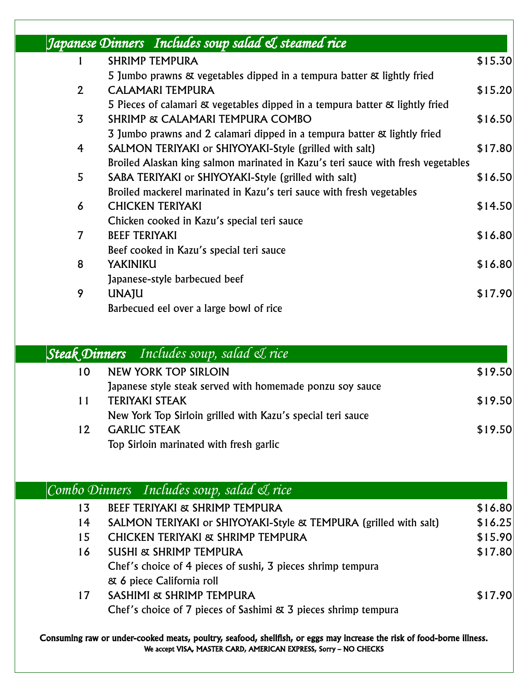|                | Japanese Dinners Includes soup salad & steamed rice                              |         |
|----------------|----------------------------------------------------------------------------------|---------|
|                | <b>SHRIMP TEMPURA</b>                                                            | \$15.30 |
|                | 5 Jumbo prawns & vegetables dipped in a tempura batter & lightly fried           |         |
| $\mathbf{2}$   | <b>CALAMARI TEMPURA</b>                                                          | \$15.20 |
|                | 5 Pieces of calamari & vegetables dipped in a tempura batter & lightly fried     |         |
| 3              | SHRIMP & CALAMARI TEMPURA COMBO                                                  | \$16.50 |
|                | 3 Jumbo prawns and 2 calamari dipped in a tempura batter & lightly fried         |         |
| 4              | SALMON TERIYAKI or SHIYOYAKI-Style (grilled with salt)                           | \$17.80 |
|                | Broiled Alaskan king salmon marinated in Kazu's teri sauce with fresh vegetables |         |
| 5              | SABA TERIYAKI or SHIYOYAKI-Style (grilled with salt)                             | \$16.50 |
|                | Broiled mackerel marinated in Kazu's teri sauce with fresh vegetables            |         |
| 6              | <b>CHICKEN TERIYAKI</b>                                                          | \$14.50 |
|                | Chicken cooked in Kazu's special teri sauce                                      |         |
| $\overline{7}$ | <b>BEEF TERIYAKI</b>                                                             | \$16.80 |
|                | Beef cooked in Kazu's special teri sauce                                         |         |
| 8              | YAKINIKU                                                                         | \$16.80 |
|                | Japanese-style barbecued beef                                                    |         |
| 9              | <b>UNAJU</b>                                                                     | \$17.90 |
|                | Barbecued eel over a large bowl of rice                                          |         |

## *Steak Dinners Includes soup, salad & rice*  10 NEW YORK TOP SIRLOIN \$19.50 Japanese style steak served with homemade ponzu soy sauce 11 TERIYAKI STEAK \$19.50 New York Top Sirloin grilled with Kazu's special teri sauce 12 GARLIC STEAK \$19.50

Top Sirloin marinated with fresh garlic

*Combo Dinners Includes soup, salad & rice*  13 BEEF TERIYAKI & SHRIMP TEMPURA \$16.80 14 SALMON TERIYAKI or SHIYOYAKI-Style & TEMPURA (grilled with salt) \$16.25 15 CHICKEN TERIYAKI & SHRIMP TEMPURA \$15.90 16 SUSHI & SHRIMP TEMPURA \$17.80 Chef's choice of 4 pieces of sushi, 3 pieces shrimp tempura & 6 piece California roll 17 SASHIMI & SHRIMP TEMPURA \$17.90 Chef's choice of 7 pieces of Sashimi & 3 pieces shrimp tempura

Consuming raw or under-cooked meats, poultry, seafood, shellfish, or eggs may increase the risk of food-borne illness. We accept VISA, MASTER CARD, AMERICAN EXPRESS, Sorry – NO CHECKS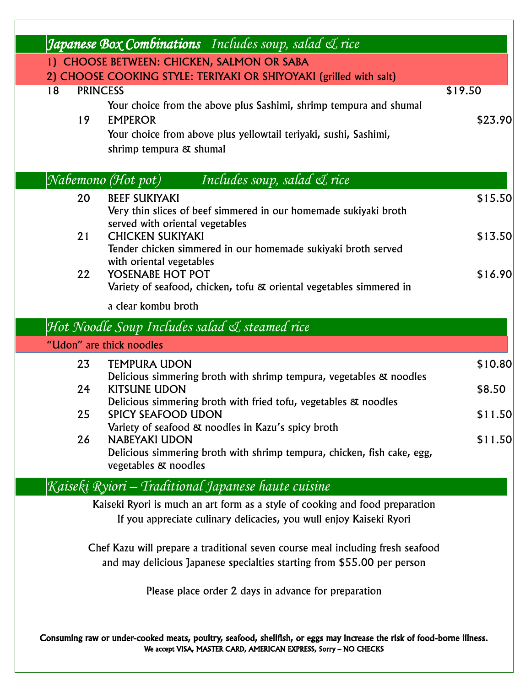|                                                                                                                                                                                            | <b>Japanese Box Combinations</b> Includes soup, salad <i>L</i> rice                                                                                                                 |                    |
|--------------------------------------------------------------------------------------------------------------------------------------------------------------------------------------------|-------------------------------------------------------------------------------------------------------------------------------------------------------------------------------------|--------------------|
|                                                                                                                                                                                            | 1) CHOOSE BETWEEN: CHICKEN, SALMON OR SABA                                                                                                                                          |                    |
|                                                                                                                                                                                            | 2) CHOOSE COOKING STYLE: TERIYAKI OR SHIYOYAKI (grilled with salt)                                                                                                                  |                    |
| <b>PRINCESS</b><br>18<br>19                                                                                                                                                                | Your choice from the above plus Sashimi, shrimp tempura and shumal<br><b>EMPEROR</b><br>Your choice from above plus yellowtail teriyaki, sushi, Sashimi,<br>shrimp tempura & shumal | \$19.50<br>\$23.90 |
|                                                                                                                                                                                            | Nabemono (Hot pot)<br>Includes soup, salad & rice                                                                                                                                   |                    |
| 20                                                                                                                                                                                         | <b>BEEF SUKIYAKI</b><br>Very thin slices of beef simmered in our homemade sukiyaki broth<br>served with oriental vegetables                                                         | \$15.50            |
| 21                                                                                                                                                                                         | <b>CHICKEN SUKIYAKI</b><br>Tender chicken simmered in our homemade sukiyaki broth served<br>with oriental vegetables                                                                | \$13.50            |
| 22                                                                                                                                                                                         | YOSENABE HOT POT<br>Variety of seafood, chicken, tofu & oriental vegetables simmered in                                                                                             | \$16.90            |
|                                                                                                                                                                                            | a clear kombu broth                                                                                                                                                                 |                    |
|                                                                                                                                                                                            | Hot Noodle Soup Includes salad & steamed rice                                                                                                                                       |                    |
|                                                                                                                                                                                            | "Udon" are thick noodles                                                                                                                                                            |                    |
| 23<br>24                                                                                                                                                                                   | <b>TEMPURA UDON</b><br>Delicious simmering broth with shrimp tempura, vegetables & noodles<br><b>KITSUNE UDON</b>                                                                   | \$10.80<br>\$8.50  |
| 25                                                                                                                                                                                         | Delicious simmering broth with fried tofu, vegetables & noodles<br>SPICY SEAFOOD UDON<br>Variety of seafood & noodles in Kazu's spicy broth                                         | \$11.50            |
| 26                                                                                                                                                                                         | <b>NABEYAKI UDON</b><br>Delicious simmering broth with shrimp tempura, chicken, fish cake, egg,<br>vegetables & noodles                                                             | \$11.50            |
|                                                                                                                                                                                            | Kaisekį Ryiori – Traditional Japanese haute cuisine                                                                                                                                 |                    |
|                                                                                                                                                                                            | Kaiseki Ryori is much an art form as a style of cooking and food preparation<br>If you appreciate culinary delicacies, you wull enjoy Kaiseki Ryori                                 |                    |
|                                                                                                                                                                                            | Chef Kazu will prepare a traditional seven course meal including fresh seafood<br>and may delicious Japanese specialties starting from \$55.00 per person                           |                    |
|                                                                                                                                                                                            | Please place order 2 days in advance for preparation                                                                                                                                |                    |
| Consuming raw or under-cooked meats, poultry, seafood, shellfish, or eggs may increase the risk of food-borne illness.<br>We accept VISA, MASTER CARD, AMERICAN EXPRESS, Sorry - NO CHECKS |                                                                                                                                                                                     |                    |